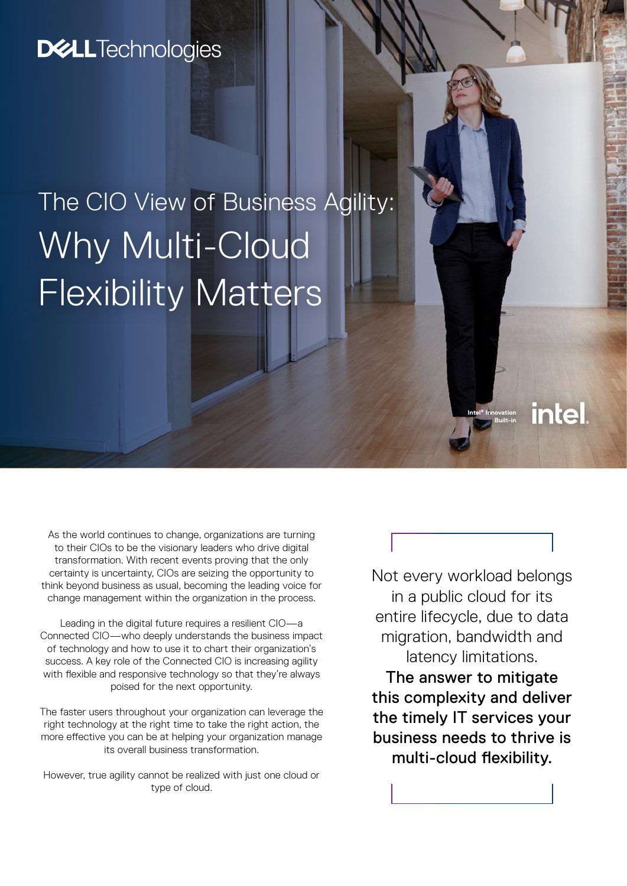# **D&LL**Technologies

# The CIO View of Business Agility: Why Multi-Cloud Flexibility Matters

As the world continues to change, organizations are turning to their CIOs to be the visionary leaders who drive digital transformation. With recent events proving that the only certainty is uncertainty, CIOs are seizing the opportunity to think beyond business as usual, becoming the leading voice for change management within the organization in the process.

Leading in the digital future requires a resilient CIO—a Connected CIO—who deeply understands the business impact of technology and how to use it to chart their organization's success. A key role of the Connected CIO is increasing agility with flexible and responsive technology so that they're always poised for the next opportunity.

The faster users throughout your organization can leverage the right technology at the right time to take the right action, the more effective you can be at helping your organization manage its overall business transformation.

However, true agility cannot be realized with just one cloud or type of cloud.

Not every workload belongs in a public cloud for its entire lifecycle, due to data migration, bandwidth and latency limitations. The answer to mitigate this complexity and deliver the timely IT services your business needs to thrive is multi-cloud flexibility.

**Intel® Innovation Built-in**

intel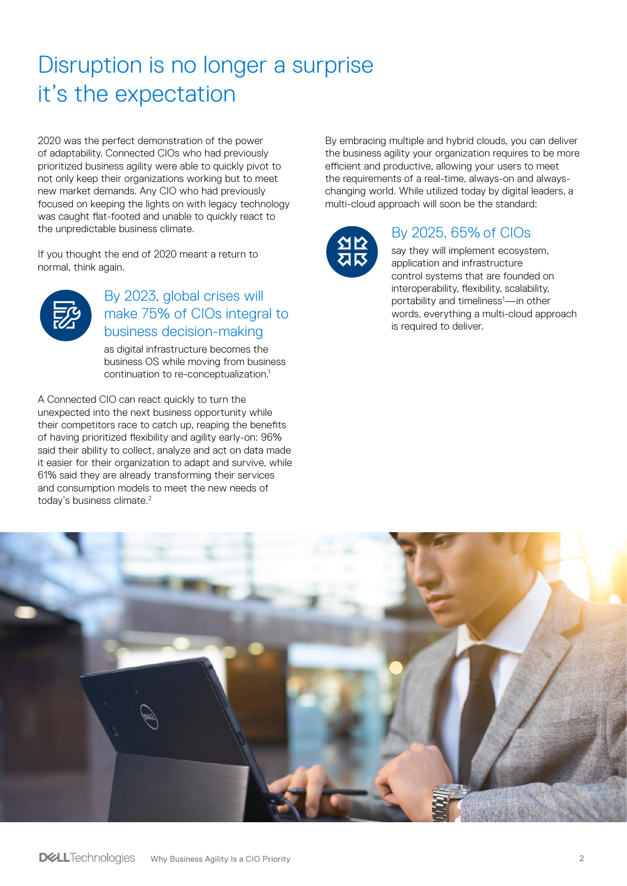# Disruption is no longer a surprise it's the expectation

2020 was the perfect demonstration of the power of adaptability. Connected CIOs who had previously prioritized business agility were able to quickly pivot to not only keep their organizations working but to meet new market demands. Any CIO who had previously focused on keeping the lights on with legacy technology was caught flat-footed and unable to quickly react to the unpredictable business climate.

If you thought the end of 2020 meant a return to normal, think again.



### By 2023, global crises will make 75% of CIOs integral to business decision-making

as digital infrastructure becomes the business OS while moving from business continuation to re-conceptualization.1

A Connected CIO can react quickly to turn the unexpected into the next business opportunity while their competitors race to catch up, reaping the benefits of having prioritized flexibility and agility early-on: 96% said their ability to collect, analyze and act on data made it easier for their organization to adapt and survive, while 61% said they are already transforming their services and consumption models to meet the new needs of today's business climate.<sup>2</sup>

By embracing multiple and hybrid clouds, you can deliver the business agility your organization requires to be more efficient and productive, allowing your users to meet the requirements of a real-time, always-on and alwayschanging world. While utilized today by digital leaders, a multi-cloud approach will soon be the standard:



### By 2025, 65% of CIOs

say they will implement ecosystem, application and infrastructure control systems that are founded on interoperability, flexibility, scalability, portability and timeliness<sup>1</sup>—in other words, everything a multi-cloud approach is required to deliver.

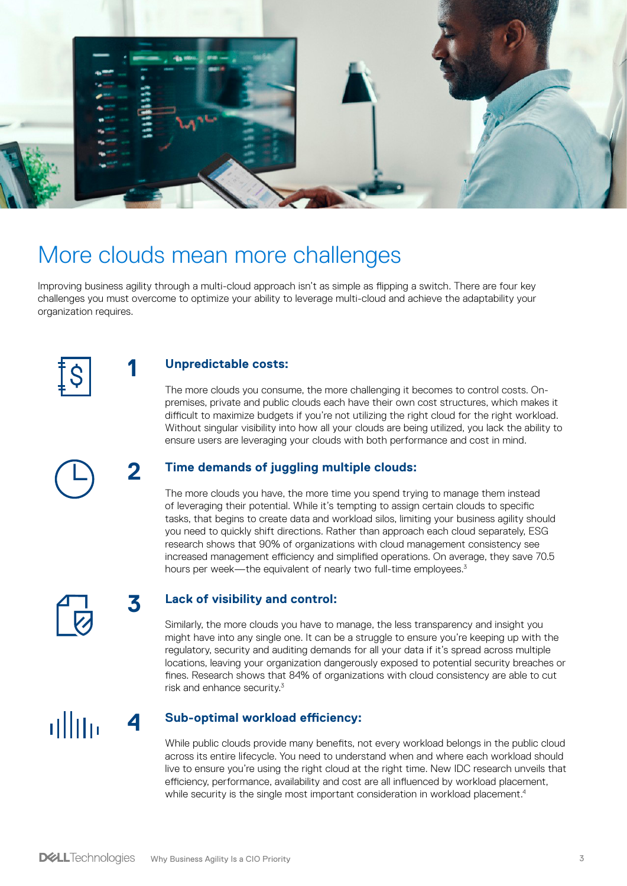

# More clouds mean more challenges

Improving business agility through a multi-cloud approach isn't as simple as flipping a switch. There are four key challenges you must overcome to optimize your ability to leverage multi-cloud and achieve the adaptability your organization requires.



**1**

**2**

**4**

**3**

#### **Unpredictable costs:**

The more clouds you consume, the more challenging it becomes to control costs. Onpremises, private and public clouds each have their own cost structures, which makes it difficult to maximize budgets if you're not utilizing the right cloud for the right workload. Without singular visibility into how all your clouds are being utilized, you lack the ability to ensure users are leveraging your clouds with both performance and cost in mind.



#### **Time demands of juggling multiple clouds:**

The more clouds you have, the more time you spend trying to manage them instead of leveraging their potential. While it's tempting to assign certain clouds to specific tasks, that begins to create data and workload silos, limiting your business agility should you need to quickly shift directions. Rather than approach each cloud separately, ESG research shows that 90% of organizations with cloud management consistency see increased management efficiency and simplified operations. On average, they save 70.5 hours per week—the equivalent of nearly two full-time employees.<sup>3</sup>



#### **Lack of visibility and control:**

Similarly, the more clouds you have to manage, the less transparency and insight you might have into any single one. It can be a struggle to ensure you're keeping up with the regulatory, security and auditing demands for all your data if it's spread across multiple locations, leaving your organization dangerously exposed to potential security breaches or fines. Research shows that 84% of organizations with cloud consistency are able to cut risk and enhance security.3

ullin

#### **Sub-optimal workload efficiency:**

While public clouds provide many benefits, not every workload belongs in the public cloud across its entire lifecycle. You need to understand when and where each workload should live to ensure you're using the right cloud at the right time. New IDC research unveils that efficiency, performance, availability and cost are all influenced by workload placement, while security is the single most important consideration in workload placement.<sup>4</sup>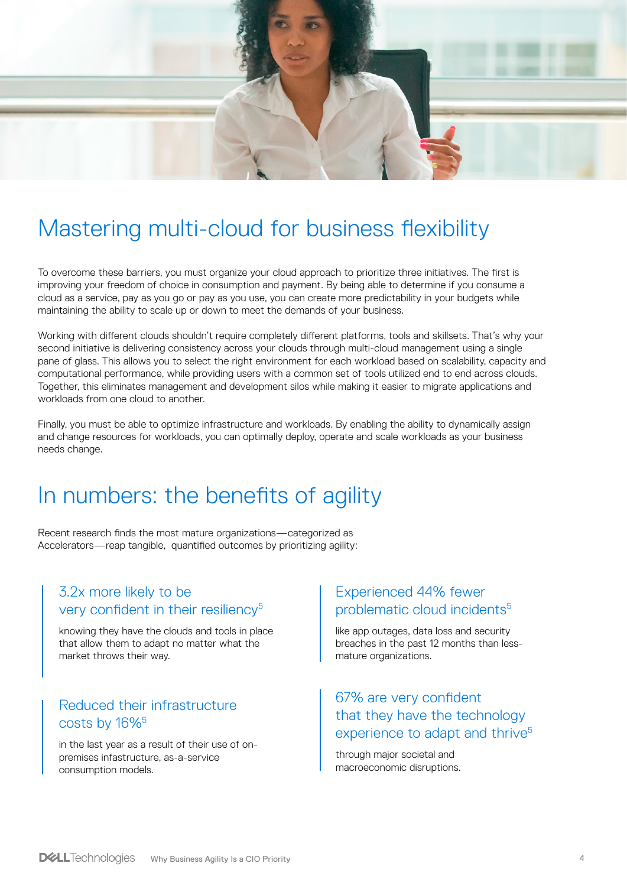

## Mastering multi-cloud for business flexibility

To overcome these barriers, you must organize your cloud approach to prioritize three initiatives. The first is improving your freedom of choice in consumption and payment. By being able to determine if you consume a cloud as a service, pay as you go or pay as you use, you can create more predictability in your budgets while maintaining the ability to scale up or down to meet the demands of your business.

Working with different clouds shouldn't require completely different platforms, tools and skillsets. That's why your second initiative is delivering consistency across your clouds through multi-cloud management using a single pane of glass. This allows you to select the right environment for each workload based on scalability, capacity and computational performance, while providing users with a common set of tools utilized end to end across clouds. Together, this eliminates management and development silos while making it easier to migrate applications and workloads from one cloud to another.

Finally, you must be able to optimize infrastructure and workloads. By enabling the ability to dynamically assign and change resources for workloads, you can optimally deploy, operate and scale workloads as your business needs change.

### In numbers: the benefits of agility

Recent research finds the most mature organizations—categorized as Accelerators—reap tangible, quantified outcomes by prioritizing agility:

### 3.2x more likely to be very confident in their resiliency<sup>5</sup>

knowing they have the clouds and tools in place that allow them to adapt no matter what the market throws their way.

### Reduced their infrastructure costs by 16%5

in the last year as a result of their use of onpremises infastructure, as-a-service consumption models.

### Experienced 44% fewer problematic cloud incidents<sup>5</sup>

like app outages, data loss and security breaches in the past 12 months than lessmature organizations.

### 67% are very confident that they have the technology experience to adapt and thrive<sup>5</sup>

through major societal and macroeconomic disruptions.